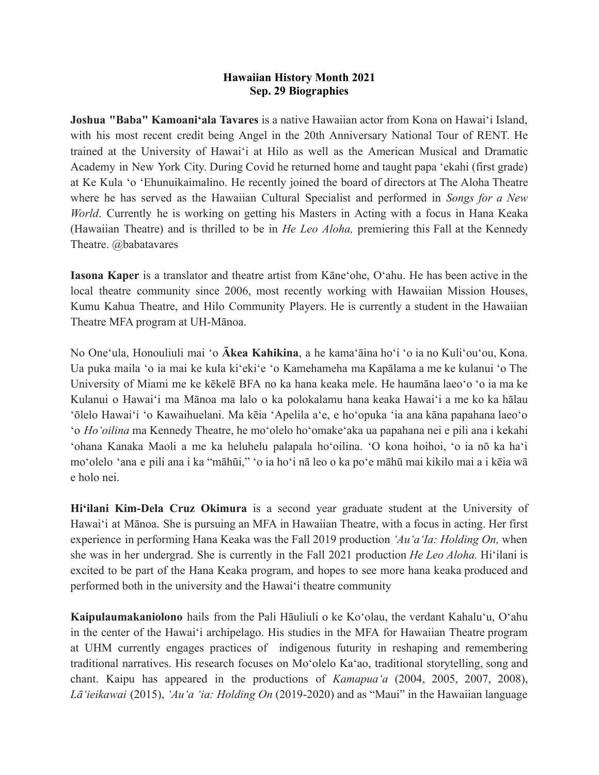## **Hawaiian History Month 2021 Sep. 29 Biographies**

**Joshua "Baba" Kamoaniʻala Tavares** is a native Hawaiian actor from Kona on Hawaiʻi Island, with his most recent credit being Angel in the 20th Anniversary National Tour of RENT. He trained at the University of Hawaiʻi at Hilo as well as the American Musical and Dramatic Academy in New York City. During Covid he returned home and taught papa ʻekahi (first grade) at Ke Kula ʻo ʻEhunuikaimalino. He recently joined the board of directors at The Aloha Theatre where he has served as the Hawaiian Cultural Specialist and performed in *Songs for a New World*. Currently he is working on getting his Masters in Acting with a focus in Hana Keaka (Hawaiian Theatre) and is thrilled to be in *He Leo Aloha,* premiering this Fall at the Kennedy Theatre. @babatavares

**Iasona Kaper** is a translator and theatre artist from Kāneʻohe, Oʻahu. He has been active in the local theatre community since 2006, most recently working with Hawaiian Mission Houses, Kumu Kahua Theatre, and Hilo Community Players. He is currently a student in the Hawaiian Theatre MFA program at UH-Mānoa.

No Oneʻula, Honouliuli mai ʻo **Ākea Kahikina**, a he kamaʻāina hoʻi ʻo ia no Kuliʻouʻou, Kona. Ua puka maila ʻo ia mai ke kula kiʻekiʻe ʻo Kamehameha ma Kapālama a me ke kulanui ʻo The University of Miami me ke kēkelē BFA no ka hana keaka mele. He haumāna laeoʻo ʻo ia ma ke Kulanui o Hawaiʻi ma Mānoa ma lalo o ka polokalamu hana keaka Hawaiʻi a me ko ka hālau ʻōlelo Hawaiʻi ʻo Kawaihuelani. Ma kēia ʻApelila aʻe, e hoʻopuka ʻia ana kāna papahana laeoʻo ʻo *Hoʻoilina* ma Kennedy Theatre, he moʻolelo hoʻomakeʻaka ua papahana nei e pili ana i kekahi ʻohana Kanaka Maoli a me ka heluhelu palapala hoʻoilina. ʻO kona hoihoi, ʻo ia nō ka haʻi moʻolelo ʻana e pili ana i ka "māhūi," ʻo ia hoʻi nā leo o ka poʻe māhū mai kikilo mai a i kēia wā e holo nei.

**Hiʻilani Kim-Dela Cruz Okimura** is a second year graduate student at the University of Hawaiʻi at Mānoa. She is pursuing an MFA in Hawaiian Theatre, with a focus in acting. Her first experience in performing Hana Keaka was the Fall 2019 production *ʻAuʻaʻIa: Holding On,* when she was in her undergrad. She is currently in the Fall 2021 production *He Leo Aloha.* Hiʻilani is excited to be part of the Hana Keaka program, and hopes to see more hana keaka produced and performed both in the university and the Hawaiʻi theatre community

**Kaipulaumakaniolono** hails from the Pali Hāuliuli o ke Koʻolau, the verdant Kahaluʻu, Oʻahu in the center of the Hawaiʻi archipelago. His studies in the MFA for Hawaiian Theatre program at UHM currently engages practices of indigenous futurity in reshaping and remembering traditional narratives. His research focuses on Moʻolelo Kaʻao, traditional storytelling, song and chant. Kaipu has appeared in the productions of *Kamapuaʻa* (2004, 2005, 2007, 2008), *Lāʻieikawai* (2015), *ʻAuʻa ʻia: Holding On* (2019-2020) and as "Maui" in the Hawaiian language